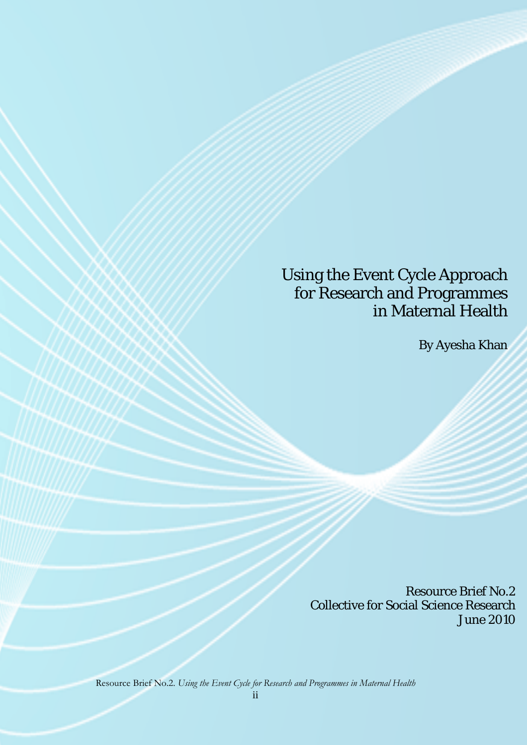# Using the Event Cycle Approach for Research and Programmes in Maternal Health

By Ayesha Khan

Resource Brief No.2 Collective for Social Science Research June 2010

Resource Brief No.2. *Using the Event Cycle for Research and Programmes in Maternal Health*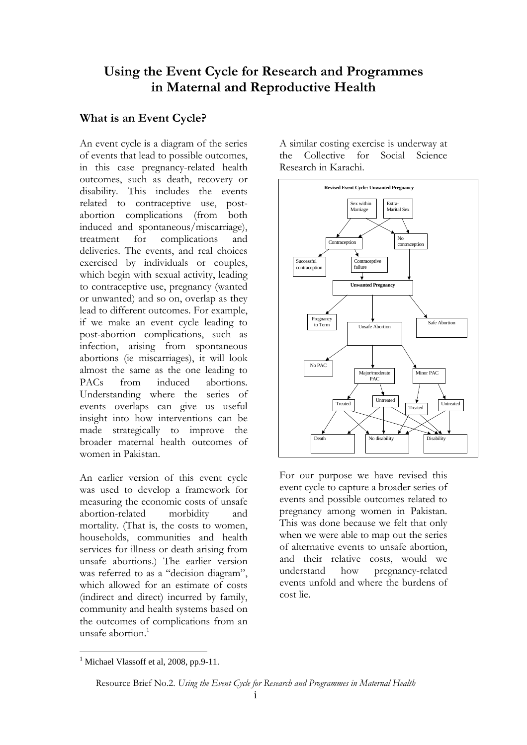## **Using the Event Cycle for Research and Programmes in Maternal and Reproductive Health**

### **What is an Event Cycle?**

An event cycle is a diagram of the series of events that lead to possible outcomes, in this case pregnancy-related health outcomes, such as death, recovery or disability. This includes the events related to contraceptive use, postabortion complications (from both induced and spontaneous/miscarriage), treatment for complications and deliveries. The events, and real choices exercised by individuals or couples, which begin with sexual activity, leading to contraceptive use, pregnancy (wanted or unwanted) and so on, overlap as they lead to different outcomes. For example, if we make an event cycle leading to post-abortion complications, such as infection, arising from spontaneous abortions (ie miscarriages), it will look almost the same as the one leading to PACs from induced abortions. Understanding where the series of events overlaps can give us useful insight into how interventions can be made strategically to improve the broader maternal health outcomes of women in Pakistan.

An earlier version of this event cycle was used to develop a framework for measuring the economic costs of unsafe abortion-related morbidity and mortality. (That is, the costs to women, households, communities and health services for illness or death arising from unsafe abortions.) The earlier version was referred to as a "decision diagram", which allowed for an estimate of costs (indirect and direct) incurred by family, community and health systems based on the outcomes of complications from an unsafe abortion.<sup>1</sup>

A similar costing exercise is underway at the Collective for Social Science Research in Karachi.



For our purpose we have revised this event cycle to capture a broader series of events and possible outcomes related to pregnancy among women in Pakistan. This was done because we felt that only when we were able to map out the series of alternative events to unsafe abortion, and their relative costs, would we understand how pregnancy-related events unfold and where the burdens of cost lie.

 $\overline{a}$ <sup>1</sup> Michael Vlassoff et al, 2008, pp.9-11.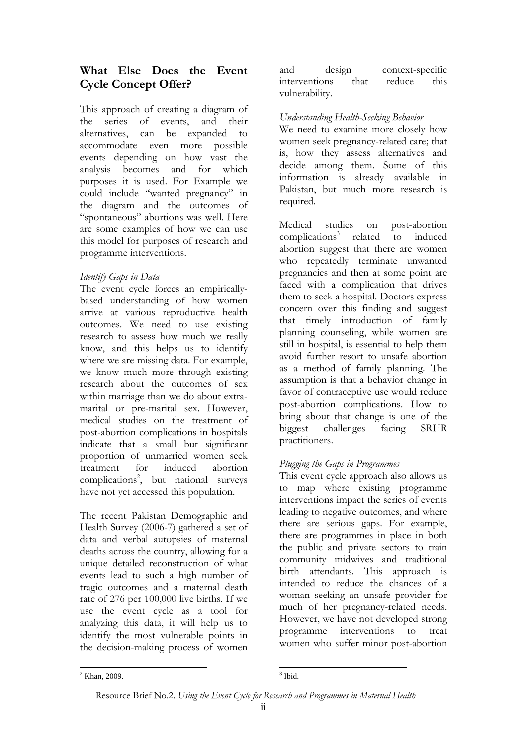### **What Else Does the Event Cycle Concept Offer?**

This approach of creating a diagram of the series of events, and their alternatives, can be expanded to accommodate even more possible events depending on how vast the analysis becomes and for which purposes it is used. For Example we could include "wanted pregnancy" in the diagram and the outcomes of "spontaneous" abortions was well. Here are some examples of how we can use this model for purposes of research and programme interventions.

### *Identify Gaps in Data*

The event cycle forces an empiricallybased understanding of how women arrive at various reproductive health outcomes. We need to use existing research to assess how much we really know, and this helps us to identify where we are missing data. For example, we know much more through existing research about the outcomes of sex within marriage than we do about extramarital or pre-marital sex. However, medical studies on the treatment of post-abortion complications in hospitals indicate that a small but significant proportion of unmarried women seek treatment for induced abortion complications2 , but national surveys have not yet accessed this population.

The recent Pakistan Demographic and Health Survey (2006-7) gathered a set of data and verbal autopsies of maternal deaths across the country, allowing for a unique detailed reconstruction of what events lead to such a high number of tragic outcomes and a maternal death rate of 276 per 100,000 live births. If we use the event cycle as a tool for analyzing this data, it will help us to identify the most vulnerable points in the decision-making process of women and design context-specific interventions that reduce this vulnerability.

#### *Understanding Health-Seeking Behavior*

We need to examine more closely how women seek pregnancy-related care; that is, how they assess alternatives and decide among them. Some of this information is already available in Pakistan, but much more research is required.

Medical studies on post-abortion complications<sup>3</sup> related to induced abortion suggest that there are women who repeatedly terminate unwanted pregnancies and then at some point are faced with a complication that drives them to seek a hospital. Doctors express concern over this finding and suggest that timely introduction of family planning counseling, while women are still in hospital, is essential to help them avoid further resort to unsafe abortion as a method of family planning. The assumption is that a behavior change in favor of contraceptive use would reduce post-abortion complications. How to bring about that change is one of the biggest challenges facing SRHR practitioners.

#### *Plugging the Gaps in Programmes*

This event cycle approach also allows us to map where existing programme interventions impact the series of events leading to negative outcomes, and where there are serious gaps. For example, there are programmes in place in both the public and private sectors to train community midwives and traditional birth attendants. This approach is intended to reduce the chances of a woman seeking an unsafe provider for much of her pregnancy-related needs. However, we have not developed strong programme interventions to treat women who suffer minor post-abortion

 $\frac{1}{2}$  $2$  Khan, 2009.

 $3$  Ibid.

Resource Brief No.2. *Using the Event Cycle for Research and Programmes in Maternal Health*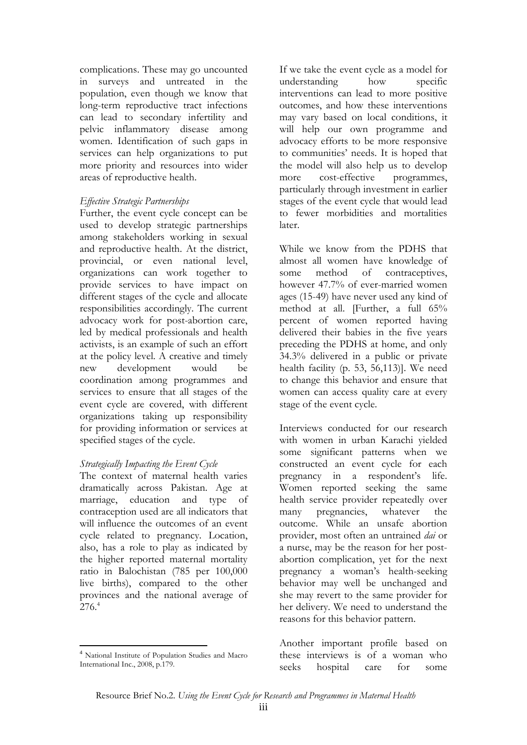complications. These may go uncounted in surveys and untreated in the population, even though we know that long-term reproductive tract infections can lead to secondary infertility and pelvic inflammatory disease among women. Identification of such gaps in services can help organizations to put more priority and resources into wider areas of reproductive health.

#### *Effective Strategic Partnerships*

Further, the event cycle concept can be used to develop strategic partnerships among stakeholders working in sexual and reproductive health. At the district, provincial, or even national level, organizations can work together to provide services to have impact on different stages of the cycle and allocate responsibilities accordingly. The current advocacy work for post-abortion care, led by medical professionals and health activists, is an example of such an effort at the policy level. A creative and timely new development would be coordination among programmes and services to ensure that all stages of the event cycle are covered, with different organizations taking up responsibility for providing information or services at specified stages of the cycle.

#### *Strategically Impacting the Event Cycle*

The context of maternal health varies dramatically across Pakistan. Age at marriage, education and type of contraception used are all indicators that will influence the outcomes of an event cycle related to pregnancy. Location, also, has a role to play as indicated by the higher reported maternal mortality ratio in Balochistan (785 per 100,000 live births), compared to the other provinces and the national average of  $276.4$ 

If we take the event cycle as a model for understanding how specific interventions can lead to more positive outcomes, and how these interventions may vary based on local conditions, it will help our own programme and advocacy efforts to be more responsive to communities' needs. It is hoped that the model will also help us to develop more cost-effective programmes, particularly through investment in earlier stages of the event cycle that would lead to fewer morbidities and mortalities later.

While we know from the PDHS that almost all women have knowledge of some method of contraceptives, however 47.7% of ever-married women ages (15-49) have never used any kind of method at all. [Further, a full 65% percent of women reported having delivered their babies in the five years preceding the PDHS at home, and only 34.3% delivered in a public or private health facility (p. 53, 56,113)]. We need to change this behavior and ensure that women can access quality care at every stage of the event cycle.

Interviews conducted for our research with women in urban Karachi yielded some significant patterns when we constructed an event cycle for each pregnancy in a respondent's life. Women reported seeking the same health service provider repeatedly over many pregnancies, whatever the outcome. While an unsafe abortion provider, most often an untrained *dai* or a nurse, may be the reason for her postabortion complication, yet for the next pregnancy a woman's health-seeking behavior may well be unchanged and she may revert to the same provider for her delivery. We need to understand the reasons for this behavior pattern.

Another important profile based on these interviews is of a woman who seeks hospital care for some

 $\overline{a}$ <sup>4</sup> National Institute of Population Studies and Macro International Inc., 2008, p.179.